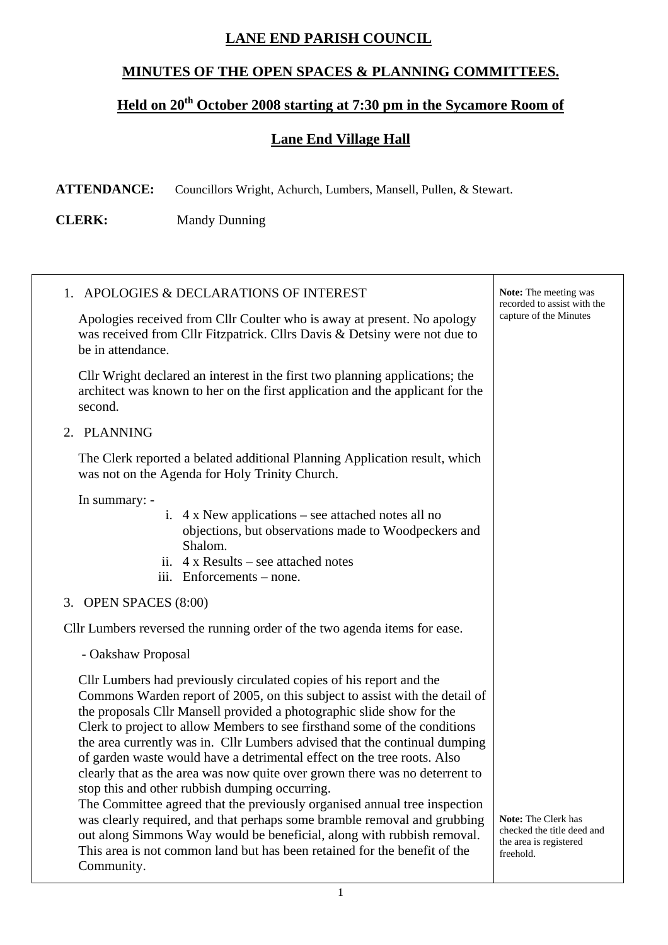## **LANE END PARISH COUNCIL**

## **MINUTES OF THE OPEN SPACES & PLANNING COMMITTEES.**

## Held on 20<sup>th</sup> October 2008 starting at 7:30 pm in the Sycamore Room of

## **Lane End Village Hall**

Τ

**ATTENDANCE:** Councillors Wright, Achurch, Lumbers, Mansell, Pullen, & Stewart.

**CLERK:** Mandy Dunning

| 1. APOLOGIES & DECLARATIONS OF INTEREST                                                                                                                                                                                                                                                                                                                                                                                                                                                                                                                                                                                                                                                                                                                                                                                                                                                                                          | <b>Note:</b> The meeting was<br>recorded to assist with the                                     |
|----------------------------------------------------------------------------------------------------------------------------------------------------------------------------------------------------------------------------------------------------------------------------------------------------------------------------------------------------------------------------------------------------------------------------------------------------------------------------------------------------------------------------------------------------------------------------------------------------------------------------------------------------------------------------------------------------------------------------------------------------------------------------------------------------------------------------------------------------------------------------------------------------------------------------------|-------------------------------------------------------------------------------------------------|
| Apologies received from Cllr Coulter who is away at present. No apology<br>was received from Cllr Fitzpatrick. Cllrs Davis & Detsiny were not due to<br>be in attendance.                                                                                                                                                                                                                                                                                                                                                                                                                                                                                                                                                                                                                                                                                                                                                        | capture of the Minutes                                                                          |
| Cllr Wright declared an interest in the first two planning applications; the<br>architect was known to her on the first application and the applicant for the<br>second.                                                                                                                                                                                                                                                                                                                                                                                                                                                                                                                                                                                                                                                                                                                                                         |                                                                                                 |
| 2. PLANNING                                                                                                                                                                                                                                                                                                                                                                                                                                                                                                                                                                                                                                                                                                                                                                                                                                                                                                                      |                                                                                                 |
| The Clerk reported a belated additional Planning Application result, which<br>was not on the Agenda for Holy Trinity Church.                                                                                                                                                                                                                                                                                                                                                                                                                                                                                                                                                                                                                                                                                                                                                                                                     |                                                                                                 |
| In summary: -<br>i. $4 \times$ New applications – see attached notes all no<br>objections, but observations made to Woodpeckers and<br>Shalom.<br>ii. $4 \times$ Results – see attached notes<br>iii. Enforcements - none.                                                                                                                                                                                                                                                                                                                                                                                                                                                                                                                                                                                                                                                                                                       |                                                                                                 |
| 3. OPEN SPACES $(8:00)$                                                                                                                                                                                                                                                                                                                                                                                                                                                                                                                                                                                                                                                                                                                                                                                                                                                                                                          |                                                                                                 |
| Cllr Lumbers reversed the running order of the two agenda items for ease.                                                                                                                                                                                                                                                                                                                                                                                                                                                                                                                                                                                                                                                                                                                                                                                                                                                        |                                                                                                 |
| - Oakshaw Proposal                                                                                                                                                                                                                                                                                                                                                                                                                                                                                                                                                                                                                                                                                                                                                                                                                                                                                                               |                                                                                                 |
| Cllr Lumbers had previously circulated copies of his report and the<br>Commons Warden report of 2005, on this subject to assist with the detail of<br>the proposals Cllr Mansell provided a photographic slide show for the<br>Clerk to project to allow Members to see firsthand some of the conditions<br>the area currently was in. Cllr Lumbers advised that the continual dumping<br>of garden waste would have a detrimental effect on the tree roots. Also<br>clearly that as the area was now quite over grown there was no deterrent to<br>stop this and other rubbish dumping occurring.<br>The Committee agreed that the previously organised annual tree inspection<br>was clearly required, and that perhaps some bramble removal and grubbing<br>out along Simmons Way would be beneficial, along with rubbish removal.<br>This area is not common land but has been retained for the benefit of the<br>Community. | <b>Note:</b> The Clerk has<br>checked the title deed and<br>the area is registered<br>freehold. |